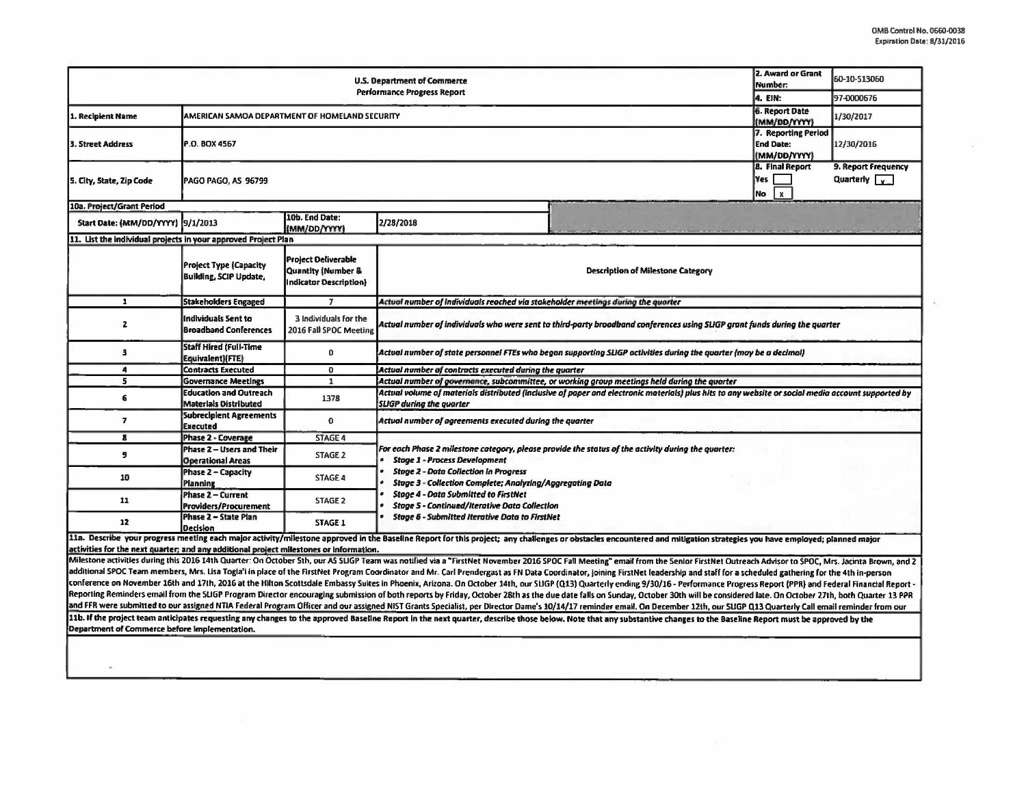| U.S. Department of Commerce<br><b>Performance Progress Report</b>                      |                                                                |                                                                                       |                                                                                                                                                                                                                                                                                                                                                                |                                                                                                                                                                                                                                                                                                                                                                                                                                                                                                                                                                                                                                                                                                    | 2. Award or Grant<br>Number:<br>4. EIN:                 | 60-10-513060                                |  |  |  |
|----------------------------------------------------------------------------------------|----------------------------------------------------------------|---------------------------------------------------------------------------------------|----------------------------------------------------------------------------------------------------------------------------------------------------------------------------------------------------------------------------------------------------------------------------------------------------------------------------------------------------------------|----------------------------------------------------------------------------------------------------------------------------------------------------------------------------------------------------------------------------------------------------------------------------------------------------------------------------------------------------------------------------------------------------------------------------------------------------------------------------------------------------------------------------------------------------------------------------------------------------------------------------------------------------------------------------------------------------|---------------------------------------------------------|---------------------------------------------|--|--|--|
|                                                                                        |                                                                |                                                                                       |                                                                                                                                                                                                                                                                                                                                                                |                                                                                                                                                                                                                                                                                                                                                                                                                                                                                                                                                                                                                                                                                                    |                                                         | 97-0000676                                  |  |  |  |
| 1. Recipient Name                                                                      | AMERICAN SAMOA DEPARTMENT OF HOMELAND SECURITY                 |                                                                                       |                                                                                                                                                                                                                                                                                                                                                                |                                                                                                                                                                                                                                                                                                                                                                                                                                                                                                                                                                                                                                                                                                    |                                                         | 1/30/2017                                   |  |  |  |
| 3. Street Address                                                                      | P.O. BOX 4567                                                  |                                                                                       |                                                                                                                                                                                                                                                                                                                                                                |                                                                                                                                                                                                                                                                                                                                                                                                                                                                                                                                                                                                                                                                                                    | 7. Reporting Period<br><b>End Date:</b><br>(MM/DD/YYYY) | 12/30/2016                                  |  |  |  |
| S. City, State, Zip Code                                                               | PAGO PAGO, AS 96799                                            |                                                                                       |                                                                                                                                                                                                                                                                                                                                                                |                                                                                                                                                                                                                                                                                                                                                                                                                                                                                                                                                                                                                                                                                                    | <b>8. Final Report</b><br>Yes<br>No<br>x                | 9. Report Frequency<br>Quarterly $\sqrt{x}$ |  |  |  |
| 10a. Project/Grant Period                                                              |                                                                |                                                                                       |                                                                                                                                                                                                                                                                                                                                                                |                                                                                                                                                                                                                                                                                                                                                                                                                                                                                                                                                                                                                                                                                                    |                                                         |                                             |  |  |  |
| Start Date: (MM/DD/YYYY) 9/1/2013                                                      |                                                                | 10b. End Date:<br>(MM/DD/YYYY)                                                        | 2/28/2018                                                                                                                                                                                                                                                                                                                                                      |                                                                                                                                                                                                                                                                                                                                                                                                                                                                                                                                                                                                                                                                                                    |                                                         |                                             |  |  |  |
| 11. List the individual projects in your approved Project Plan                         |                                                                |                                                                                       |                                                                                                                                                                                                                                                                                                                                                                |                                                                                                                                                                                                                                                                                                                                                                                                                                                                                                                                                                                                                                                                                                    |                                                         |                                             |  |  |  |
|                                                                                        | <b>Project Type (Capacity</b><br><b>Building, SCIP Update,</b> | <b>Project Deliverable</b><br><b>Quantity (Number &amp;</b><br>Indicator Description) |                                                                                                                                                                                                                                                                                                                                                                | <b>Description of Milestone Category</b>                                                                                                                                                                                                                                                                                                                                                                                                                                                                                                                                                                                                                                                           |                                                         |                                             |  |  |  |
| $\mathbf{1}$                                                                           | <b>Stakeholders Engaged</b>                                    | T                                                                                     | Actual number of individuals reached via stakeholder meetings during the quarter                                                                                                                                                                                                                                                                               |                                                                                                                                                                                                                                                                                                                                                                                                                                                                                                                                                                                                                                                                                                    |                                                         |                                             |  |  |  |
| $\mathbf{z}$                                                                           | <b>Individuals Sent to</b><br><b>Broadband Conferences</b>     | 3 Individuals for the<br>2016 Fall SPOC Meeting                                       | Actual number of individuals who were sent to third-party broadband conferences using SLIGP grant funds during the quarter                                                                                                                                                                                                                                     |                                                                                                                                                                                                                                                                                                                                                                                                                                                                                                                                                                                                                                                                                                    |                                                         |                                             |  |  |  |
| з                                                                                      | <b>Staff Hired (Full-Time</b><br>Equivalent)(FTE)              | $\bf{0}$                                                                              | Actual number of state personnel FTEs who began supporting SLIGP activities during the quarter (may be a decimal)                                                                                                                                                                                                                                              |                                                                                                                                                                                                                                                                                                                                                                                                                                                                                                                                                                                                                                                                                                    |                                                         |                                             |  |  |  |
| $\ddot{\bf{a}}$                                                                        | <b>Contracts Executed</b>                                      | $\mathbf 0$                                                                           | Actual number of contracts executed during the quarter                                                                                                                                                                                                                                                                                                         |                                                                                                                                                                                                                                                                                                                                                                                                                                                                                                                                                                                                                                                                                                    |                                                         |                                             |  |  |  |
| 5                                                                                      | <b>Governance Meetings</b>                                     | $\mathbf{1}$                                                                          | Actual number of governance, subcommittee, or working group meetings held during the quarter                                                                                                                                                                                                                                                                   |                                                                                                                                                                                                                                                                                                                                                                                                                                                                                                                                                                                                                                                                                                    |                                                         |                                             |  |  |  |
| 6                                                                                      | <b>Education and Outreach</b><br><b>Materials Distributed</b>  | 1378                                                                                  | Actual volume of materials distributed (inclusive of paper and electronic materials) plus hits to any website or social media account supported by<br><b>SLIGP during the quarter</b>                                                                                                                                                                          |                                                                                                                                                                                                                                                                                                                                                                                                                                                                                                                                                                                                                                                                                                    |                                                         |                                             |  |  |  |
| $\overline{7}$                                                                         | <b>Subrecipient Agreements</b><br><b>Executed</b>              | $\mathbf{0}$                                                                          | Actual number of agreements executed during the quarter                                                                                                                                                                                                                                                                                                        |                                                                                                                                                                                                                                                                                                                                                                                                                                                                                                                                                                                                                                                                                                    |                                                         |                                             |  |  |  |
| 8                                                                                      | Phase 2 - Coverage                                             | <b>STAGE 4</b>                                                                        |                                                                                                                                                                                                                                                                                                                                                                |                                                                                                                                                                                                                                                                                                                                                                                                                                                                                                                                                                                                                                                                                                    |                                                         |                                             |  |  |  |
| 9                                                                                      | Phase 2 - Users and Their<br><b>Operational Areas</b>          | <b>STAGE 2</b>                                                                        | For each Phase 2 milestone category, please provide the status of the activity during the quarter:<br><b>Stage 1 - Process Development</b><br><b>Stage 2 - Data Collection in Progress</b><br>Stage 3 - Collection Complete; Analyzing/Aggregating Data<br><b>Stage 4 - Data Submitted to FirstNet</b><br><b>Stage 5 - Continued/Iterative Data Collection</b> |                                                                                                                                                                                                                                                                                                                                                                                                                                                                                                                                                                                                                                                                                                    |                                                         |                                             |  |  |  |
| 10                                                                                     | <b>Phase 2 - Capacity</b><br>Planning                          | <b>STAGE 4</b>                                                                        |                                                                                                                                                                                                                                                                                                                                                                |                                                                                                                                                                                                                                                                                                                                                                                                                                                                                                                                                                                                                                                                                                    |                                                         |                                             |  |  |  |
| 11                                                                                     | Phase 2 - Current<br><b>Praviders/Procurement</b>              | <b>STAGE 2</b>                                                                        |                                                                                                                                                                                                                                                                                                                                                                |                                                                                                                                                                                                                                                                                                                                                                                                                                                                                                                                                                                                                                                                                                    |                                                         |                                             |  |  |  |
| 12                                                                                     | Phase 2 - State Plan<br>Decision                               | STAGE 1                                                                               | <b>Stage 6 - Submitted Iterative Data to FirstNet</b>                                                                                                                                                                                                                                                                                                          |                                                                                                                                                                                                                                                                                                                                                                                                                                                                                                                                                                                                                                                                                                    |                                                         |                                             |  |  |  |
|                                                                                        |                                                                |                                                                                       |                                                                                                                                                                                                                                                                                                                                                                | 11a. Describe your progress meeting each major activity/milestone approved in the Baseline Report for this project; any challenges or obstacles encountered and mitigation strategies you have employed; planned major                                                                                                                                                                                                                                                                                                                                                                                                                                                                             |                                                         |                                             |  |  |  |
| activities for the next quarter; and any additional project milestones or information. |                                                                |                                                                                       |                                                                                                                                                                                                                                                                                                                                                                |                                                                                                                                                                                                                                                                                                                                                                                                                                                                                                                                                                                                                                                                                                    |                                                         |                                             |  |  |  |
|                                                                                        |                                                                |                                                                                       |                                                                                                                                                                                                                                                                                                                                                                | Milestone activities during this 2016 14th Quarter: On October Sth, our AS SLIGP Team was notified via a "FirstNet November 2016 SPOC Fall Meeting" email from the Senior FirstNet Outreach Advisor to SPOC, Mrs. Jacinta Brow<br>additional SPOC Team members, Mrs. Lisa Togia'i in place of the FirstNet Program Coordinator and Mr. Carl Prendergast as FN Data Coordinator, joining FirstNet leadership and staff for a scheduled gathering for the 4th in-p<br>conference on November 16th and 17th, 2016 at the Hilton Scottsdale Embassy Suites in Phoenix, Arizona. On October 14th, our SLIGP (Q13) Quarterly ending 9/30/16 - Performance Progress Report (PPR) and Federal Financial Re |                                                         |                                             |  |  |  |
|                                                                                        |                                                                |                                                                                       |                                                                                                                                                                                                                                                                                                                                                                | Reporting Reminders email from the SLIGP Program Director encouraging submission of both reports by Friday, October 28th as the due date falls on Sunday, October 20th will be considered late. On October 27th, both Quarter<br>and FFR were submitted to our assigned NTIA Federal Program Officer and our assigned NIST Grants Specialist, per Director Dame's 10/14/17 reminder email. On December 12th, our SUGP Q13 Quarterly Call email reminder from ou                                                                                                                                                                                                                                    |                                                         |                                             |  |  |  |
|                                                                                        |                                                                |                                                                                       |                                                                                                                                                                                                                                                                                                                                                                | 11b. If the project team anticipates requesting any changes to the approved Baseline Report in the next quarter, describe those below. Note that any substantive changes to the Baseline Report must be approved by the                                                                                                                                                                                                                                                                                                                                                                                                                                                                            |                                                         |                                             |  |  |  |

Department of Commerce before implementation.

 $\omega_{\rm c}$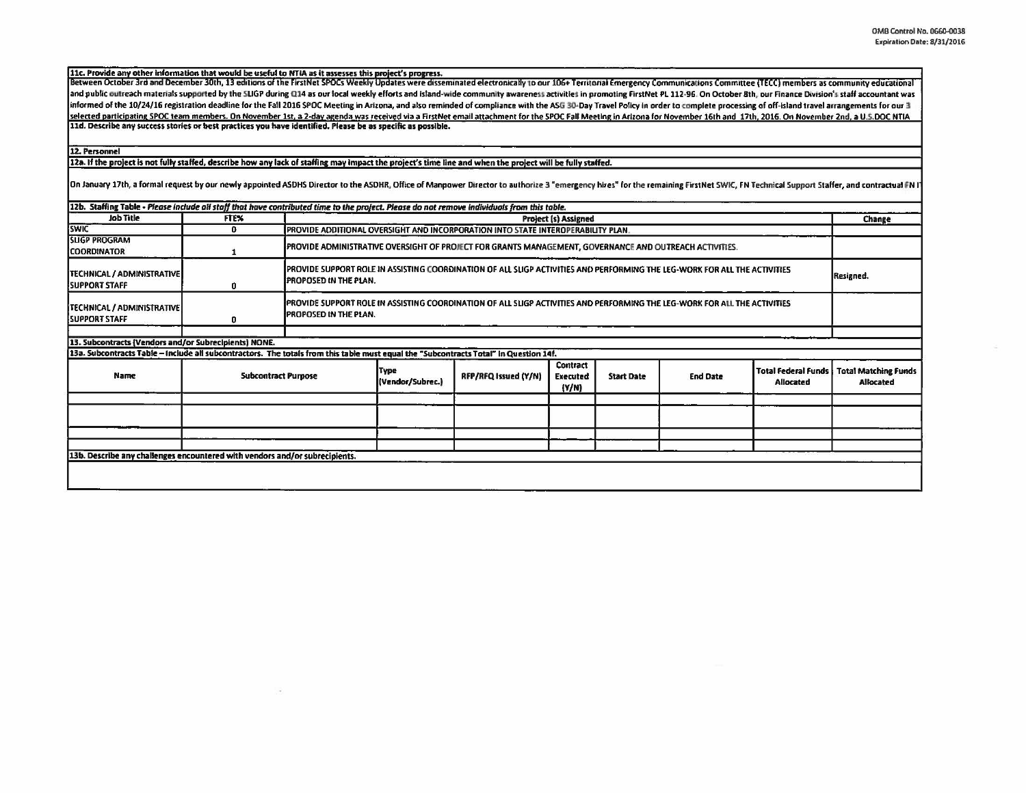11c. Provide any other information that would be useful to NTIA as it assesses this project's progress.<br>Between October 3rd and December 30th, 13 editions of the FirstNet SPOCs Weekly Updates were disseminated electronical and public outreach materials supported by the SLIGP during Q14 as our local weekly efforts and island-wide community awareness activities in promoting FirstNet PL 112-96. On October 8th, our Finance Division's staff accou informed of the 10/24/16 registration deadline for the Fall 2016 SPOC Meeting in Arizona, and also reminded of compliance with the ASG 30-Day Travel Policy in order to complete processing of off-island travel arrangements selected participating SPOC team members. On November 1st, a 2-day agenda was received via a FirstNet email attachment for the SPOC Fall Meeting in Arizona for November 16th and 17th, 2016. On November 2nd, a U.S.DOC NTIA 11d. Describe any success stories or best practices you have identified. Please be as specific as possible.

12. Personnel

12a. If the project is not fully staffed, describe how any lack of staffing may impact the project's time line and when the project will be fully staffed.

On January 17th, a formal request by our newly appointed ASDHS Director to the ASDHR, Office of Manpower Director to authorize 3 "emergency hires" for the remaining FirstNet SWIC, FN Technical Support Staffer, and contract

| Job Title                                                                                                                             | FTE%                       | 12b. Staffing Table - Please include all staff that have contributed time to the project. Please do not remove individuals from this table.               |                                                                                                                           |                      |                                      |                   |                 |                                         |                                                 |
|---------------------------------------------------------------------------------------------------------------------------------------|----------------------------|-----------------------------------------------------------------------------------------------------------------------------------------------------------|---------------------------------------------------------------------------------------------------------------------------|----------------------|--------------------------------------|-------------------|-----------------|-----------------------------------------|-------------------------------------------------|
| <b>SWIC</b>                                                                                                                           | $\bf{0}$                   |                                                                                                                                                           | Project (s) Assigned<br>PROVIDE ADDITIONAL OVERSIGHT AND INCORPORATION INTO STATE INTEROPERABILITY PLAN.                  |                      |                                      |                   |                 |                                         | Change                                          |
| <b>SLIGP PROGRAM</b><br><b>COORDINATOR</b>                                                                                            |                            | PROVIDE ADMINISTRATIVE OVERSIGHT OF PROJECT FOR GRANTS MANAGEMENT, GOVERNANCE AND OUTREACH ACTIVITIES.                                                    |                                                                                                                           |                      |                                      |                   |                 |                                         |                                                 |
| <b>ITECHNICAL / ADMINISTRATIVE</b><br><b>ISUPPORT STAFF</b>                                                                           | 0                          | PROVIDE SUPPORT ROLE IN ASSISTING COORDINATION OF ALL SLIGP ACTIVITIES AND PERFORMING THE LEG-WORK FOR ALL THE ACTIVITIES<br><b>PROPOSED IN THE PLAN.</b> |                                                                                                                           |                      |                                      |                   |                 | Resigned.                               |                                                 |
| [TECHNICAL / ADMINISTRATIVE]<br><b>ISUPPORT STAFF</b>                                                                                 | 0                          | <b>PROPOSED IN THE PLAN.</b>                                                                                                                              | IPROVIDE SUPPORT ROLE IN ASSISTING COORDINATION OF ALL SUGP ACTIVITIES AND PERFORMING THE LEG-WORK FOR ALL THE ACTIVITIES |                      |                                      |                   |                 |                                         |                                                 |
|                                                                                                                                       |                            |                                                                                                                                                           |                                                                                                                           |                      |                                      |                   |                 |                                         |                                                 |
| 13. Subcontracts (Vendors and/or Subrecipients) NONE.                                                                                 |                            |                                                                                                                                                           |                                                                                                                           |                      |                                      |                   |                 |                                         |                                                 |
| 13a. Subcontracts Table - Include all subcontractors. The totals from this table must equal the "Subcontracts Total" in Question 14f. |                            |                                                                                                                                                           |                                                                                                                           |                      |                                      |                   |                 |                                         |                                                 |
| Name                                                                                                                                  | <b>Subcontract Purpose</b> |                                                                                                                                                           | Type<br>(Vendor/Subrec.)                                                                                                  | RFP/RFQ Issued (Y/N) | <b>Contract</b><br>Executed<br>(Y/N) | <b>Start Date</b> | <b>End Date</b> | <b>Total Federal Funds</b><br>Allocated | <b>Total Matching Funds</b><br><b>Allocated</b> |
|                                                                                                                                       |                            |                                                                                                                                                           |                                                                                                                           |                      |                                      |                   |                 |                                         |                                                 |
|                                                                                                                                       |                            |                                                                                                                                                           |                                                                                                                           |                      |                                      |                   |                 |                                         |                                                 |
|                                                                                                                                       |                            |                                                                                                                                                           |                                                                                                                           |                      |                                      |                   |                 |                                         |                                                 |
|                                                                                                                                       |                            |                                                                                                                                                           |                                                                                                                           |                      |                                      |                   |                 |                                         |                                                 |
| 13b. Describe any challenges encountered with vendors and/or subrecipients.                                                           |                            |                                                                                                                                                           |                                                                                                                           |                      |                                      |                   |                 |                                         |                                                 |
|                                                                                                                                       |                            |                                                                                                                                                           |                                                                                                                           |                      |                                      |                   |                 |                                         |                                                 |
|                                                                                                                                       |                            |                                                                                                                                                           |                                                                                                                           |                      |                                      |                   |                 |                                         |                                                 |